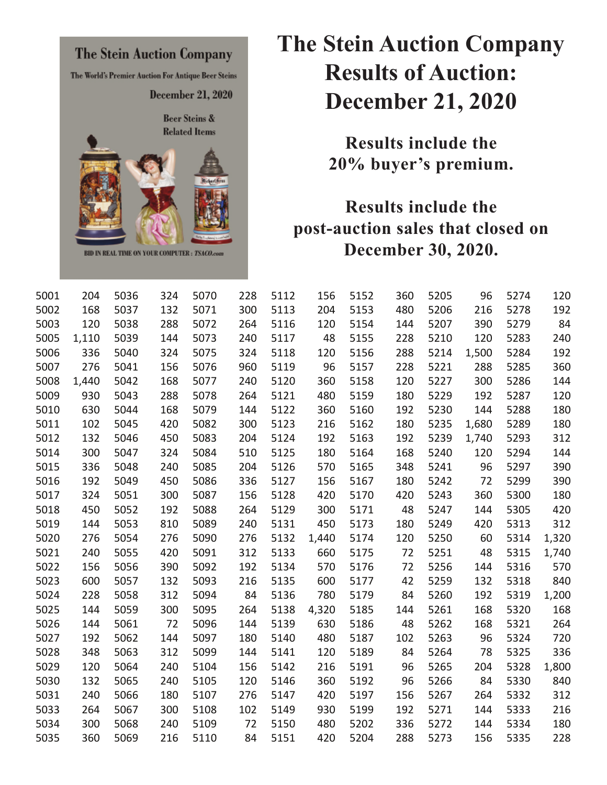

## **The Stein Auction Company Results of Auction: December 21, 2020**

**Results include the 20% buyer's premium.** 

## **Results include the post-auction sales that closed on December 30, 2020.**

| 5001 | 204   | 5036 | 324 | 5070 | 228 | 5112 | 156   | 5152 | 360 | 5205 | 96    | 5274 | 120   |
|------|-------|------|-----|------|-----|------|-------|------|-----|------|-------|------|-------|
| 5002 | 168   | 5037 | 132 | 5071 | 300 | 5113 | 204   | 5153 | 480 | 5206 | 216   | 5278 | 192   |
| 5003 | 120   | 5038 | 288 | 5072 | 264 | 5116 | 120   | 5154 | 144 | 5207 | 390   | 5279 | 84    |
| 5005 | 1,110 | 5039 | 144 | 5073 | 240 | 5117 | 48    | 5155 | 228 | 5210 | 120   | 5283 | 240   |
| 5006 | 336   | 5040 | 324 | 5075 | 324 | 5118 | 120   | 5156 | 288 | 5214 | 1,500 | 5284 | 192   |
| 5007 | 276   | 5041 | 156 | 5076 | 960 | 5119 | 96    | 5157 | 228 | 5221 | 288   | 5285 | 360   |
| 5008 | 1,440 | 5042 | 168 | 5077 | 240 | 5120 | 360   | 5158 | 120 | 5227 | 300   | 5286 | 144   |
| 5009 | 930   | 5043 | 288 | 5078 | 264 | 5121 | 480   | 5159 | 180 | 5229 | 192   | 5287 | 120   |
| 5010 | 630   | 5044 | 168 | 5079 | 144 | 5122 | 360   | 5160 | 192 | 5230 | 144   | 5288 | 180   |
| 5011 | 102   | 5045 | 420 | 5082 | 300 | 5123 | 216   | 5162 | 180 | 5235 | 1,680 | 5289 | 180   |
| 5012 | 132   | 5046 | 450 | 5083 | 204 | 5124 | 192   | 5163 | 192 | 5239 | 1,740 | 5293 | 312   |
| 5014 | 300   | 5047 | 324 | 5084 | 510 | 5125 | 180   | 5164 | 168 | 5240 | 120   | 5294 | 144   |
| 5015 | 336   | 5048 | 240 | 5085 | 204 | 5126 | 570   | 5165 | 348 | 5241 | 96    | 5297 | 390   |
| 5016 | 192   | 5049 | 450 | 5086 | 336 | 5127 | 156   | 5167 | 180 | 5242 | 72    | 5299 | 390   |
| 5017 | 324   | 5051 | 300 | 5087 | 156 | 5128 | 420   | 5170 | 420 | 5243 | 360   | 5300 | 180   |
| 5018 | 450   | 5052 | 192 | 5088 | 264 | 5129 | 300   | 5171 | 48  | 5247 | 144   | 5305 | 420   |
| 5019 | 144   | 5053 | 810 | 5089 | 240 | 5131 | 450   | 5173 | 180 | 5249 | 420   | 5313 | 312   |
| 5020 | 276   | 5054 | 276 | 5090 | 276 | 5132 | 1,440 | 5174 | 120 | 5250 | 60    | 5314 | 1,320 |
| 5021 | 240   | 5055 | 420 | 5091 | 312 | 5133 | 660   | 5175 | 72  | 5251 | 48    | 5315 | 1,740 |
| 5022 | 156   | 5056 | 390 | 5092 | 192 | 5134 | 570   | 5176 | 72  | 5256 | 144   | 5316 | 570   |
| 5023 | 600   | 5057 | 132 | 5093 | 216 | 5135 | 600   | 5177 | 42  | 5259 | 132   | 5318 | 840   |
| 5024 | 228   | 5058 | 312 | 5094 | 84  | 5136 | 780   | 5179 | 84  | 5260 | 192   | 5319 | 1,200 |
| 5025 | 144   | 5059 | 300 | 5095 | 264 | 5138 | 4,320 | 5185 | 144 | 5261 | 168   | 5320 | 168   |
| 5026 | 144   | 5061 | 72  | 5096 | 144 | 5139 | 630   | 5186 | 48  | 5262 | 168   | 5321 | 264   |
| 5027 | 192   | 5062 | 144 | 5097 | 180 | 5140 | 480   | 5187 | 102 | 5263 | 96    | 5324 | 720   |
| 5028 | 348   | 5063 | 312 | 5099 | 144 | 5141 | 120   | 5189 | 84  | 5264 | 78    | 5325 | 336   |
| 5029 | 120   | 5064 | 240 | 5104 | 156 | 5142 | 216   | 5191 | 96  | 5265 | 204   | 5328 | 1,800 |
| 5030 | 132   | 5065 | 240 | 5105 | 120 | 5146 | 360   | 5192 | 96  | 5266 | 84    | 5330 | 840   |
| 5031 | 240   | 5066 | 180 | 5107 | 276 | 5147 | 420   | 5197 | 156 | 5267 | 264   | 5332 | 312   |
| 5033 | 264   | 5067 | 300 | 5108 | 102 | 5149 | 930   | 5199 | 192 | 5271 | 144   | 5333 | 216   |
| 5034 | 300   | 5068 | 240 | 5109 | 72  | 5150 | 480   | 5202 | 336 | 5272 | 144   | 5334 | 180   |
| 5035 | 360   | 5069 | 216 | 5110 | 84  | 5151 | 420   | 5204 | 288 | 5273 | 156   | 5335 | 228   |
|      |       |      |     |      |     |      |       |      |     |      |       |      |       |